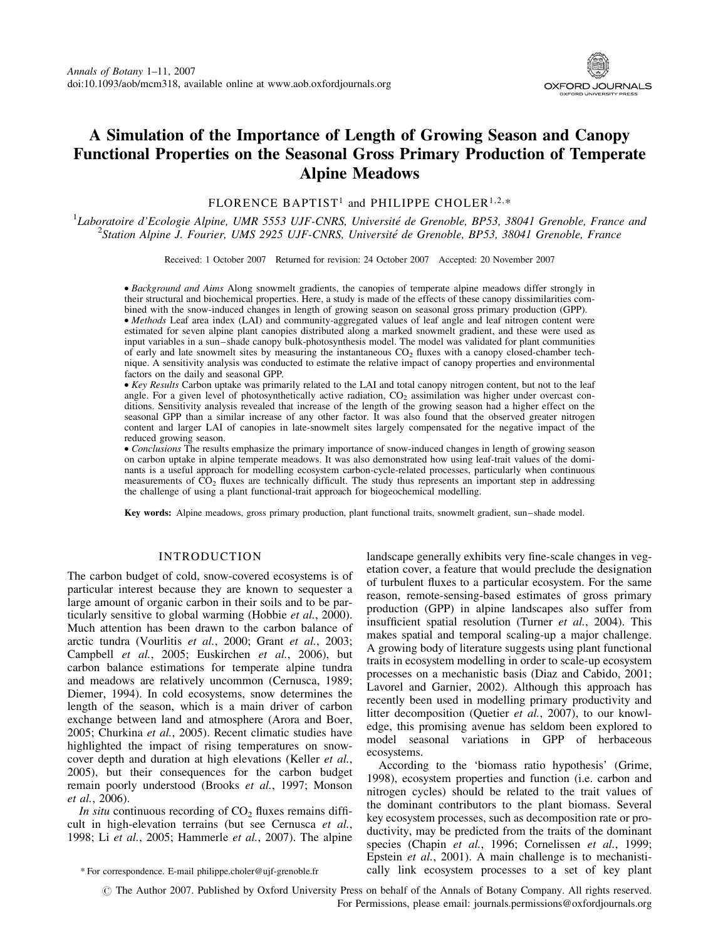# A Simulation of the Importance of Length of Growing Season and Canopy Functional Properties on the Seasonal Gross Primary Production of Temperate Alpine Meadows

FLORENCE BAPTIST<sup>1</sup> and PHILIPPE CHOLER<sup>1,2,\*</sup>

 $1$ Laboratoire d'Ecologie Alpine, UMR 5553 UJF-CNRS, Université de Grenoble, BP53, 38041 Grenoble, France and <sup>2</sup>Station Alpine J. Fourier, UMS 2925 UJF-CNRS, Université de Grenoble, BP53, 38041 Grenoble, France

Received: 1 October 2007 Returned for revision: 24 October 2007 Accepted: 20 November 2007

• Background and Aims Along snowmelt gradients, the canopies of temperate alpine meadows differ strongly in their structural and biochemical properties. Here, a study is made of the effects of these canopy dissimilarities combined with the snow-induced changes in length of growing season on seasonal gross primary production (GPP). • Methods Leaf area index (LAI) and community-aggregated values of leaf angle and leaf nitrogen content were estimated for seven alpine plant canopies distributed along a marked snowmelt gradient, and these were used as input variables in a sun–shade canopy bulk-photosynthesis model. The model was validated for plant communities of early and late snowmelt sites by measuring the instantaneous  $CO<sub>2</sub>$  fluxes with a canopy closed-chamber technique. A sensitivity analysis was conducted to estimate the relative impact of canopy properties and environmental

factors on the daily and seasonal GPP. †Key Results Carbon uptake was primarily related to the LAI and total canopy nitrogen content, but not to the leaf angle. For a given level of photosynthetically active radiation, CO<sub>2</sub> assimilation was higher under overcast conditions. Sensitivity analysis revealed that increase of the length of the growing season had a higher effect on the seasonal GPP than a similar increase of any other factor. It was also found that the observed greater nitrogen content and larger LAI of canopies in late-snowmelt sites largely compensated for the negative impact of the reduced growing season.

†Conclusions The results emphasize the primary importance of snow-induced changes in length of growing season on carbon uptake in alpine temperate meadows. It was also demonstrated how using leaf-trait values of the dominants is a useful approach for modelling ecosystem carbon-cycle-related processes, particularly when continuous measurements of  $CO<sub>2</sub>$  fluxes are technically difficult. The study thus represents an important step in addressing the challenge of using a plant functional-trait approach for biogeochemical modelling.

Key words: Alpine meadows, gross primary production, plant functional traits, snowmelt gradient, sun–shade model.

## INTRODUCTION

The carbon budget of cold, snow-covered ecosystems is of particular interest because they are known to sequester a large amount of organic carbon in their soils and to be particularly sensitive to global warming (Hobbie et al., 2000). Much attention has been drawn to the carbon balance of arctic tundra (Vourlitis et al., 2000; Grant et al., 2003; Campbell et al., 2005; Euskirchen et al., 2006), but carbon balance estimations for temperate alpine tundra and meadows are relatively uncommon (Cernusca, 1989; Diemer, 1994). In cold ecosystems, snow determines the length of the season, which is a main driver of carbon exchange between land and atmosphere (Arora and Boer, 2005; Churkina et al., 2005). Recent climatic studies have highlighted the impact of rising temperatures on snowcover depth and duration at high elevations (Keller et al., 2005), but their consequences for the carbon budget remain poorly understood (Brooks et al., 1997; Monson et al., 2006).

In situ continuous recording of  $CO<sub>2</sub>$  fluxes remains difficult in high-elevation terrains (but see Cernusca et al., 1998; Li et al., 2005; Hammerle et al., 2007). The alpine landscape generally exhibits very fine-scale changes in vegetation cover, a feature that would preclude the designation of turbulent fluxes to a particular ecosystem. For the same reason, remote-sensing-based estimates of gross primary production (GPP) in alpine landscapes also suffer from insufficient spatial resolution (Turner et al., 2004). This makes spatial and temporal scaling-up a major challenge. A growing body of literature suggests using plant functional traits in ecosystem modelling in order to scale-up ecosystem processes on a mechanistic basis (Diaz and Cabido, 2001; Lavorel and Garnier, 2002). Although this approach has recently been used in modelling primary productivity and litter decomposition (Quetier et al., 2007), to our knowledge, this promising avenue has seldom been explored to model seasonal variations in GPP of herbaceous ecosystems.

OXEORD, IOLIRNALS

According to the 'biomass ratio hypothesis' (Grime, 1998), ecosystem properties and function (i.e. carbon and nitrogen cycles) should be related to the trait values of the dominant contributors to the plant biomass. Several key ecosystem processes, such as decomposition rate or productivity, may be predicted from the traits of the dominant species (Chapin et al., 1996; Cornelissen et al., 1999; Epstein et al., 2001). A main challenge is to mechanisti- \* For correspondence. E-mail philippe.choler@ujf-grenoble.fr cally link ecosystem processes to a set of key plant

© The Author 2007. Published by Oxford University Press on behalf of the Annals of Botany Company. All rights reserved. For Permissions, please email: journals.permissions@oxfordjournals.org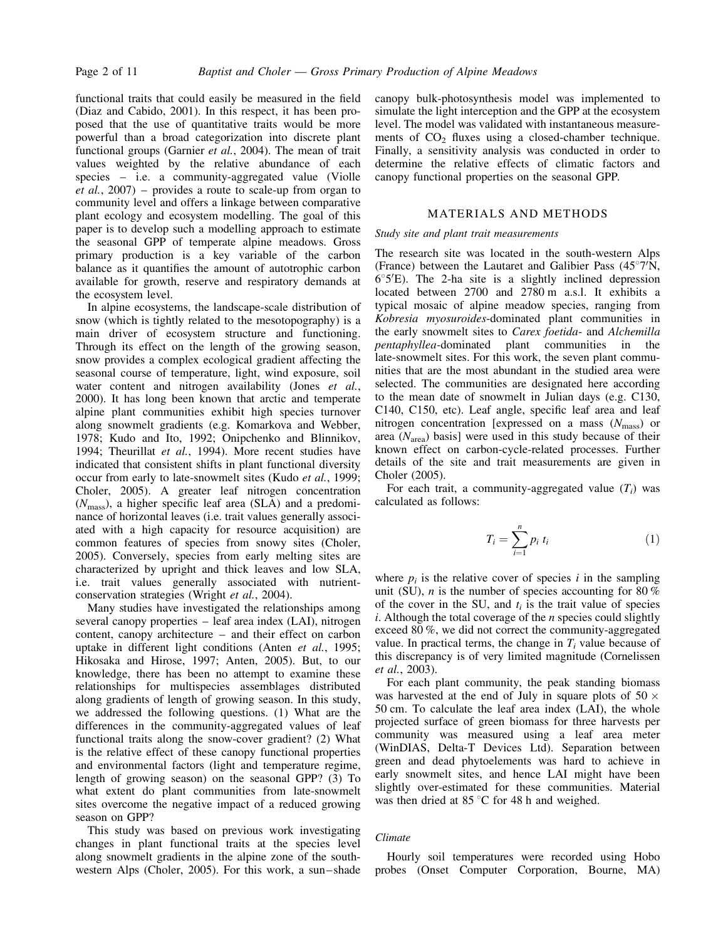functional traits that could easily be measured in the field (Diaz and Cabido, 2001). In this respect, it has been proposed that the use of quantitative traits would be more powerful than a broad categorization into discrete plant functional groups (Garnier et al., 2004). The mean of trait values weighted by the relative abundance of each species – i.e. a community-aggregated value (Violle et al., 2007) – provides a route to scale-up from organ to community level and offers a linkage between comparative plant ecology and ecosystem modelling. The goal of this paper is to develop such a modelling approach to estimate the seasonal GPP of temperate alpine meadows. Gross primary production is a key variable of the carbon balance as it quantifies the amount of autotrophic carbon available for growth, reserve and respiratory demands at the ecosystem level.

In alpine ecosystems, the landscape-scale distribution of snow (which is tightly related to the mesotopography) is a main driver of ecosystem structure and functioning. Through its effect on the length of the growing season, snow provides a complex ecological gradient affecting the seasonal course of temperature, light, wind exposure, soil water content and nitrogen availability (Jones et al., 2000). It has long been known that arctic and temperate alpine plant communities exhibit high species turnover along snowmelt gradients (e.g. Komarkova and Webber, 1978; Kudo and Ito, 1992; Onipchenko and Blinnikov, 1994; Theurillat et al., 1994). More recent studies have indicated that consistent shifts in plant functional diversity occur from early to late-snowmelt sites (Kudo et al., 1999; Choler, 2005). A greater leaf nitrogen concentration  $(N<sub>mass</sub>)$ , a higher specific leaf area (SLA) and a predominance of horizontal leaves (i.e. trait values generally associated with a high capacity for resource acquisition) are common features of species from snowy sites (Choler, 2005). Conversely, species from early melting sites are characterized by upright and thick leaves and low SLA, i.e. trait values generally associated with nutrientconservation strategies (Wright et al., 2004).

Many studies have investigated the relationships among several canopy properties – leaf area index (LAI), nitrogen content, canopy architecture – and their effect on carbon uptake in different light conditions (Anten et al., 1995; Hikosaka and Hirose, 1997; Anten, 2005). But, to our knowledge, there has been no attempt to examine these relationships for multispecies assemblages distributed along gradients of length of growing season. In this study, we addressed the following questions. (1) What are the differences in the community-aggregated values of leaf functional traits along the snow-cover gradient? (2) What is the relative effect of these canopy functional properties and environmental factors (light and temperature regime, length of growing season) on the seasonal GPP? (3) To what extent do plant communities from late-snowmelt sites overcome the negative impact of a reduced growing season on GPP?

This study was based on previous work investigating changes in plant functional traits at the species level along snowmelt gradients in the alpine zone of the southwestern Alps (Choler, 2005). For this work, a sun–shade

canopy bulk-photosynthesis model was implemented to simulate the light interception and the GPP at the ecosystem level. The model was validated with instantaneous measurements of  $CO<sub>2</sub>$  fluxes using a closed-chamber technique. Finally, a sensitivity analysis was conducted in order to determine the relative effects of climatic factors and canopy functional properties on the seasonal GPP.

## MATERIALS AND METHODS

#### Study site and plant trait measurements

The research site was located in the south-western Alps (France) between the Lautaret and Galibier Pass  $(45^{\circ}7^{\prime}\text{N},$  $6°5'E$ ). The 2-ha site is a slightly inclined depression located between 2700 and 2780 m a.s.l. It exhibits a typical mosaic of alpine meadow species, ranging from Kobresia myosuroides-dominated plant communities in the early snowmelt sites to Carex foetida- and Alchemilla pentaphyllea-dominated plant communities in the late-snowmelt sites. For this work, the seven plant communities that are the most abundant in the studied area were selected. The communities are designated here according to the mean date of snowmelt in Julian days (e.g. C130, C140, C150, etc). Leaf angle, specific leaf area and leaf nitrogen concentration [expressed on a mass  $(N<sub>mass</sub>)$  or area  $(N<sub>area</sub>)$  basis] were used in this study because of their known effect on carbon-cycle-related processes. Further details of the site and trait measurements are given in Choler (2005).

For each trait, a community-aggregated value  $(T_i)$  was calculated as follows:

$$
T_i = \sum_{i=1}^n p_i t_i \tag{1}
$$

where  $p_i$  is the relative cover of species i in the sampling unit (SU), *n* is the number of species accounting for 80  $\%$ of the cover in the SU, and  $t_i$  is the trait value of species  $i.$  Although the total coverage of the *n* species could slightly exceed 80 %, we did not correct the community-aggregated value. In practical terms, the change in  $T_i$  value because of this discrepancy is of very limited magnitude (Cornelissen et al., 2003).

For each plant community, the peak standing biomass was harvested at the end of July in square plots of  $50 \times$ 50 cm. To calculate the leaf area index (LAI), the whole projected surface of green biomass for three harvests per community was measured using a leaf area meter (WinDIAS, Delta-T Devices Ltd). Separation between green and dead phytoelements was hard to achieve in early snowmelt sites, and hence LAI might have been slightly over-estimated for these communities. Material was then dried at  $85^{\circ}$ C for 48 h and weighed.

# Climate

Hourly soil temperatures were recorded using Hobo probes (Onset Computer Corporation, Bourne, MA)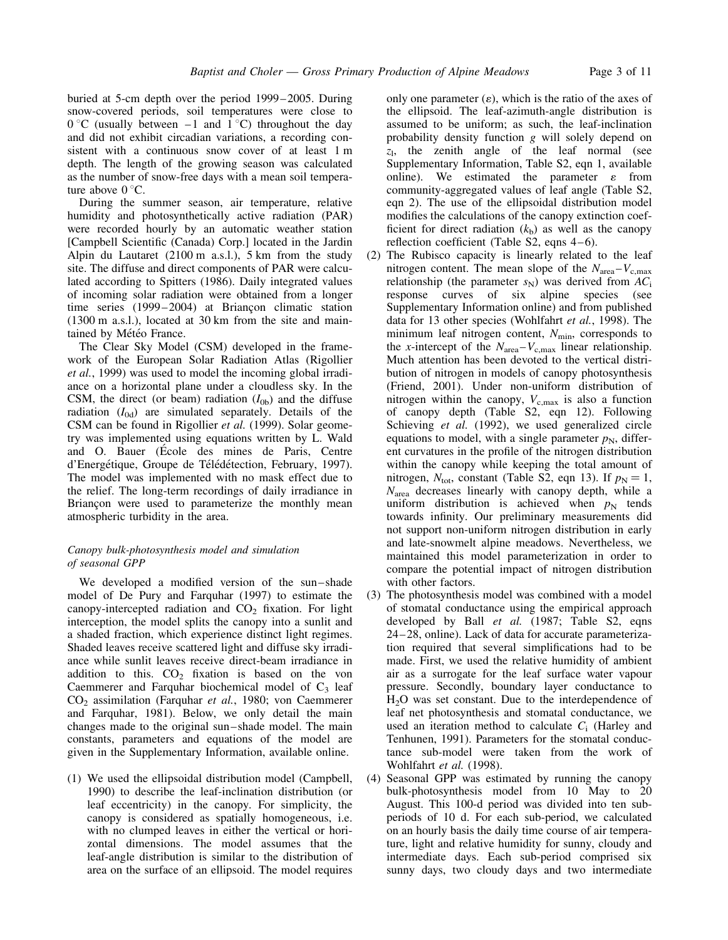buried at 5-cm depth over the period 1999–2005. During snow-covered periods, soil temperatures were close to  $0^{\circ}$ C (usually between  $-1$  and  $1^{\circ}$ C) throughout the day and did not exhibit circadian variations, a recording consistent with a continuous snow cover of at least 1 m depth. The length of the growing season was calculated as the number of snow-free days with a mean soil temperature above  $0^{\circ}$ C.

During the summer season, air temperature, relative humidity and photosynthetically active radiation (PAR) were recorded hourly by an automatic weather station [Campbell Scientific (Canada) Corp.] located in the Jardin Alpin du Lautaret (2100 m a.s.l.), 5 km from the study site. The diffuse and direct components of PAR were calculated according to Spitters (1986). Daily integrated values of incoming solar radiation were obtained from a longer time series  $(1999-2004)$  at Briancon climatic station (1300 m a.s.l.), located at 30 km from the site and maintained by Météo France.

The Clear Sky Model (CSM) developed in the framework of the European Solar Radiation Atlas (Rigollier et al., 1999) was used to model the incoming global irradiance on a horizontal plane under a cloudless sky. In the CSM, the direct (or beam) radiation  $(I_{0b})$  and the diffuse radiation  $(I_{0d})$  are simulated separately. Details of the CSM can be found in Rigollier et al. (1999). Solar geometry was implemented using equations written by L. Wald and O. Bauer (Ecole des mines de Paris, Centre d'Energétique, Groupe de Télédétection, February, 1997). The model was implemented with no mask effect due to the relief. The long-term recordings of daily irradiance in Briançon were used to parameterize the monthly mean atmospheric turbidity in the area.

# Canopy bulk-photosynthesis model and simulation of seasonal GPP

We developed a modified version of the sun–shade model of De Pury and Farquhar (1997) to estimate the canopy-intercepted radiation and  $CO<sub>2</sub>$  fixation. For light interception, the model splits the canopy into a sunlit and a shaded fraction, which experience distinct light regimes. Shaded leaves receive scattered light and diffuse sky irradiance while sunlit leaves receive direct-beam irradiance in addition to this.  $CO<sub>2</sub>$  fixation is based on the von Caemmerer and Farquhar biochemical model of  $C_3$  leaf  $CO<sub>2</sub>$  assimilation (Farquhar et al., 1980; von Caemmerer and Farquhar, 1981). Below, we only detail the main changes made to the original sun–shade model. The main constants, parameters and equations of the model are given in the Supplementary Information, available online.

(1) We used the ellipsoidal distribution model (Campbell, 1990) to describe the leaf-inclination distribution (or leaf eccentricity) in the canopy. For simplicity, the canopy is considered as spatially homogeneous, i.e. with no clumped leaves in either the vertical or horizontal dimensions. The model assumes that the leaf-angle distribution is similar to the distribution of area on the surface of an ellipsoid. The model requires

only one parameter  $(\varepsilon)$ , which is the ratio of the axes of the ellipsoid. The leaf-azimuth-angle distribution is assumed to be uniform; as such, the leaf-inclination probability density function g will solely depend on  $z_1$ , the zenith angle of the leaf normal (see Supplementary Information, Table S2, eqn 1, available online). We estimated the parameter  $\varepsilon$  from community-aggregated values of leaf angle (Table S2, eqn 2). The use of the ellipsoidal distribution model modifies the calculations of the canopy extinction coefficient for direct radiation  $(k<sub>b</sub>)$  as well as the canopy reflection coefficient (Table S2, eqns 4–6).

- (2) The Rubisco capacity is linearly related to the leaf nitrogen content. The mean slope of the  $N_{\text{area}}-V_{\text{c,max}}$ relationship (the parameter  $s_N$ ) was derived from  $AC_i$ response curves of six alpine species (see Supplementary Information online) and from published data for 13 other species (Wohlfahrt et al., 1998). The minimum leaf nitrogen content,  $N_{\text{min}}$ , corresponds to the x-intercept of the  $N_{\text{area}}-V_{\text{c,max}}$  linear relationship. Much attention has been devoted to the vertical distribution of nitrogen in models of canopy photosynthesis (Friend, 2001). Under non-uniform distribution of nitrogen within the canopy,  $V_{c,\text{max}}$  is also a function of canopy depth (Table S2, eqn 12). Following Schieving *et al.* (1992), we used generalized circle equations to model, with a single parameter  $p_N$ , different curvatures in the profile of the nitrogen distribution within the canopy while keeping the total amount of nitrogen,  $N_{\text{tot}}$ , constant (Table S2, eqn 13). If  $p_N = 1$ ,  $N<sub>area</sub>$  decreases linearly with canopy depth, while a uniform distribution is achieved when  $p_N$  tends towards infinity. Our preliminary measurements did not support non-uniform nitrogen distribution in early and late-snowmelt alpine meadows. Nevertheless, we maintained this model parameterization in order to compare the potential impact of nitrogen distribution with other factors.
- (3) The photosynthesis model was combined with a model of stomatal conductance using the empirical approach developed by Ball et al. (1987; Table S2, eqns 24–28, online). Lack of data for accurate parameterization required that several simplifications had to be made. First, we used the relative humidity of ambient air as a surrogate for the leaf surface water vapour pressure. Secondly, boundary layer conductance to H2O was set constant. Due to the interdependence of leaf net photosynthesis and stomatal conductance, we used an iteration method to calculate  $C_i$  (Harley and Tenhunen, 1991). Parameters for the stomatal conductance sub-model were taken from the work of Wohlfahrt et al. (1998).
- (4) Seasonal GPP was estimated by running the canopy bulk-photosynthesis model from 10 May to 20 August. This 100-d period was divided into ten subperiods of 10 d. For each sub-period, we calculated on an hourly basis the daily time course of air temperature, light and relative humidity for sunny, cloudy and intermediate days. Each sub-period comprised six sunny days, two cloudy days and two intermediate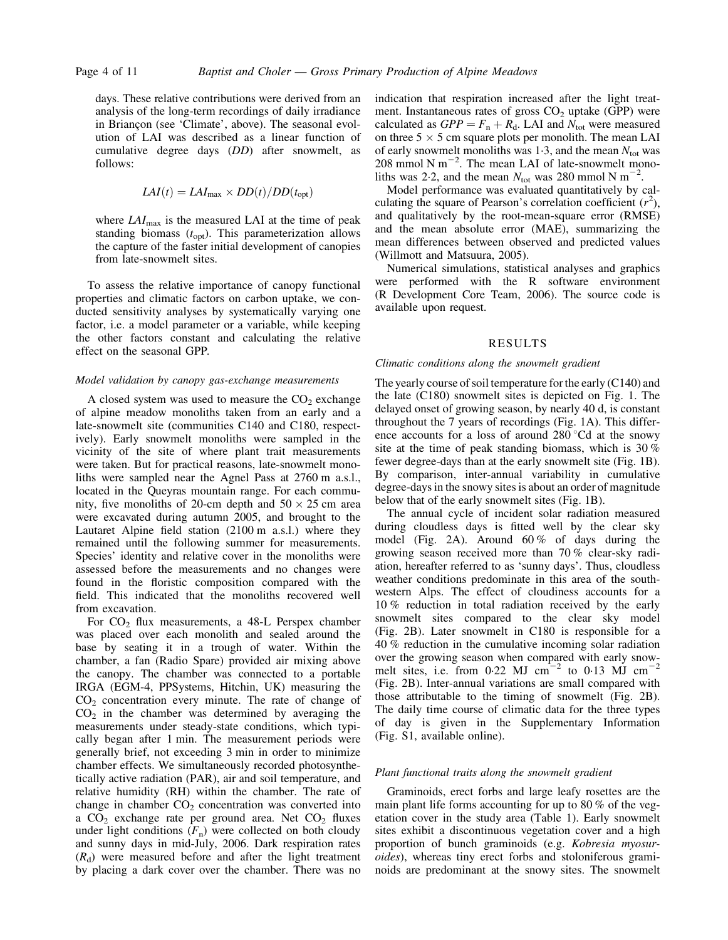days. These relative contributions were derived from an analysis of the long-term recordings of daily irradiance in Briancon (see 'Climate', above). The seasonal evolution of LAI was described as a linear function of cumulative degree days (DD) after snowmelt, as follows:

$$
LAI(t) = LAI_{\text{max}} \times DD(t)/DD(t_{\text{opt}})
$$

where  $LAI_{\text{max}}$  is the measured LAI at the time of peak standing biomass  $(t_{opt})$ . This parameterization allows the capture of the faster initial development of canopies from late-snowmelt sites.

To assess the relative importance of canopy functional properties and climatic factors on carbon uptake, we conducted sensitivity analyses by systematically varying one factor, i.e. a model parameter or a variable, while keeping the other factors constant and calculating the relative effect on the seasonal GPP.

#### Model validation by canopy gas-exchange measurements

A closed system was used to measure the  $CO<sub>2</sub>$  exchange of alpine meadow monoliths taken from an early and a late-snowmelt site (communities C140 and C180, respectively). Early snowmelt monoliths were sampled in the vicinity of the site of where plant trait measurements were taken. But for practical reasons, late-snowmelt monoliths were sampled near the Agnel Pass at 2760 m a.s.l., located in the Queyras mountain range. For each community, five monoliths of 20-cm depth and  $50 \times 25$  cm area were excavated during autumn 2005, and brought to the Lautaret Alpine field station (2100 m a.s.l.) where they remained until the following summer for measurements. Species' identity and relative cover in the monoliths were assessed before the measurements and no changes were found in the floristic composition compared with the field. This indicated that the monoliths recovered well from excavation.

For  $CO<sub>2</sub>$  flux measurements, a 48-L Perspex chamber was placed over each monolith and sealed around the base by seating it in a trough of water. Within the chamber, a fan (Radio Spare) provided air mixing above the canopy. The chamber was connected to a portable IRGA (EGM-4, PPSystems, Hitchin, UK) measuring the  $CO<sub>2</sub>$  concentration every minute. The rate of change of  $CO<sub>2</sub>$  in the chamber was determined by averaging the measurements under steady-state conditions, which typically began after 1 min. The measurement periods were generally brief, not exceeding 3 min in order to minimize chamber effects. We simultaneously recorded photosynthetically active radiation (PAR), air and soil temperature, and relative humidity (RH) within the chamber. The rate of change in chamber  $CO<sub>2</sub>$  concentration was converted into a  $CO<sub>2</sub>$  exchange rate per ground area. Net  $CO<sub>2</sub>$  fluxes under light conditions  $(F_n)$  were collected on both cloudy and sunny days in mid-July, 2006. Dark respiration rates  $(R_d)$  were measured before and after the light treatment by placing a dark cover over the chamber. There was no indication that respiration increased after the light treatment. Instantaneous rates of gross  $CO<sub>2</sub>$  uptake (GPP) were calculated as  $GPP = F_n + R_d$ . LAI and  $N_{tot}$  were measured on three  $5 \times 5$  cm square plots per monolith. The mean LAI of early snowmelt monoliths was 1.3, and the mean  $N_{\text{tot}}$  was  $208$  mmol N m<sup>-2</sup>. The mean LAI of late-snowmelt monoliths was 2.2, and the mean  $N_{\text{tot}}$  was 280 mmol N m<sup>-2</sup>.

Model performance was evaluated quantitatively by calculating the square of Pearson's correlation coefficient  $(r^2)$ , and qualitatively by the root-mean-square error (RMSE) and the mean absolute error (MAE), summarizing the mean differences between observed and predicted values (Willmott and Matsuura, 2005).

Numerical simulations, statistical analyses and graphics were performed with the R software environment (R Development Core Team, 2006). The source code is available upon request.

#### RESULTS

#### Climatic conditions along the snowmelt gradient

The yearly course of soil temperature for the early (C140) and the late (C180) snowmelt sites is depicted on Fig. 1. The delayed onset of growing season, by nearly 40 d, is constant throughout the 7 years of recordings (Fig. 1A). This difference accounts for a loss of around  $280^{\circ}$ Cd at the snowy site at the time of peak standing biomass, which is 30 % fewer degree-days than at the early snowmelt site (Fig. 1B). By comparison, inter-annual variability in cumulative degree-days in the snowy sites is about an order of magnitude below that of the early snowmelt sites (Fig. 1B).

The annual cycle of incident solar radiation measured during cloudless days is fitted well by the clear sky model (Fig. 2A). Around 60 % of days during the growing season received more than 70 % clear-sky radiation, hereafter referred to as 'sunny days'. Thus, cloudless weather conditions predominate in this area of the southwestern Alps. The effect of cloudiness accounts for a 10 % reduction in total radiation received by the early snowmelt sites compared to the clear sky model (Fig. 2B). Later snowmelt in C180 is responsible for a 40 % reduction in the cumulative incoming solar radiation over the growing season when compared with early snowmelt sites, i.e. from  $0.22$  MJ cm<sup>-2</sup> to  $0.13$  MJ cm<sup>-2</sup> (Fig. 2B). Inter-annual variations are small compared with those attributable to the timing of snowmelt (Fig. 2B). The daily time course of climatic data for the three types of day is given in the Supplementary Information (Fig. S1, available online).

## Plant functional traits along the snowmelt gradient

Graminoids, erect forbs and large leafy rosettes are the main plant life forms accounting for up to 80 % of the vegetation cover in the study area (Table 1). Early snowmelt sites exhibit a discontinuous vegetation cover and a high proportion of bunch graminoids (e.g. Kobresia myosuroides), whereas tiny erect forbs and stoloniferous graminoids are predominant at the snowy sites. The snowmelt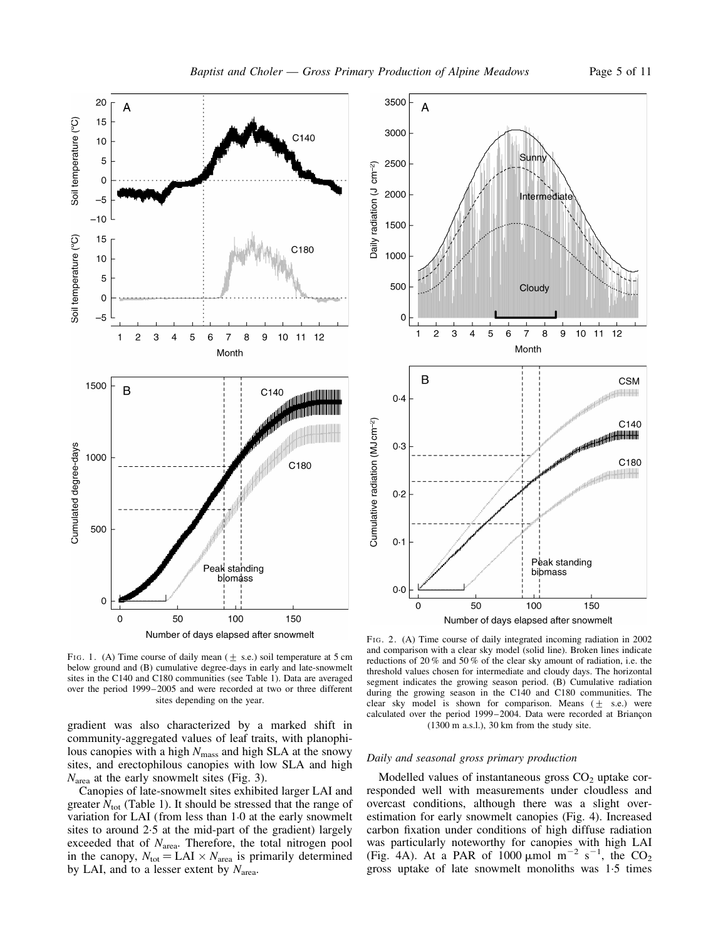$12$ 

**CSM** 

 $C<sub>140</sub>$ 

C180



Number of days elapsed after snowmelt

FIG. 1. (A) Time course of daily mean ( $\pm$  s.e.) soil temperature at 5 cm below ground and (B) cumulative degree-days in early and late-snowmelt sites in the C140 and C180 communities (see Table 1). Data are averaged over the period 1999–2005 and were recorded at two or three different sites depending on the year.

gradient was also characterized by a marked shift in community-aggregated values of leaf traits, with planophilous canopies with a high  $N_{\text{mass}}$  and high SLA at the snowy sites, and erectophilous canopies with low SLA and high  $N<sub>area</sub>$  at the early snowmelt sites (Fig. 3).

Canopies of late-snowmelt sites exhibited larger LAI and greater  $N_{\text{tot}}$  (Table 1). It should be stressed that the range of variation for LAI (from less than 1.0 at the early snowmelt sites to around 2.5 at the mid-part of the gradient) largely exceeded that of  $N_{\text{area}}$ . Therefore, the total nitrogen pool in the canopy,  $N_{\text{tot}} = LAI \times N_{\text{area}}$  is primarily determined by LAI, and to a lesser extent by  $N_{\text{area}}$ .

F<sub>IG</sub>. 2. (A) Time course of daily integrated incoming radiation in 2002 and comparison with a clear sky model (solid line). Broken lines indicate reductions of 20 % and 50 % of the clear sky amount of radiation, i.e. the threshold values chosen for intermediate and cloudy days. The horizontal segment indicates the growing season period. (B) Cumulative radiation during the growing season in the C140 and C180 communities. The clear sky model is shown for comparison. Means  $(\pm$  s.e.) were calculated over the period 1999–2004. Data were recorded at Briançon (1300 m a.s.l.), 30 km from the study site.

## Daily and seasonal gross primary production

Modelled values of instantaneous gross  $CO<sub>2</sub>$  uptake corresponded well with measurements under cloudless and overcast conditions, although there was a slight overestimation for early snowmelt canopies (Fig. 4). Increased carbon fixation under conditions of high diffuse radiation was particularly noteworthy for canopies with high LAI (Fig. 4A). At a PAR of  $1000 \mu \text{mol} \text{ m}^{-2} \text{ s}^{-1}$ , the CO<sub>2</sub> gross uptake of late snowmelt monoliths was 1.5 times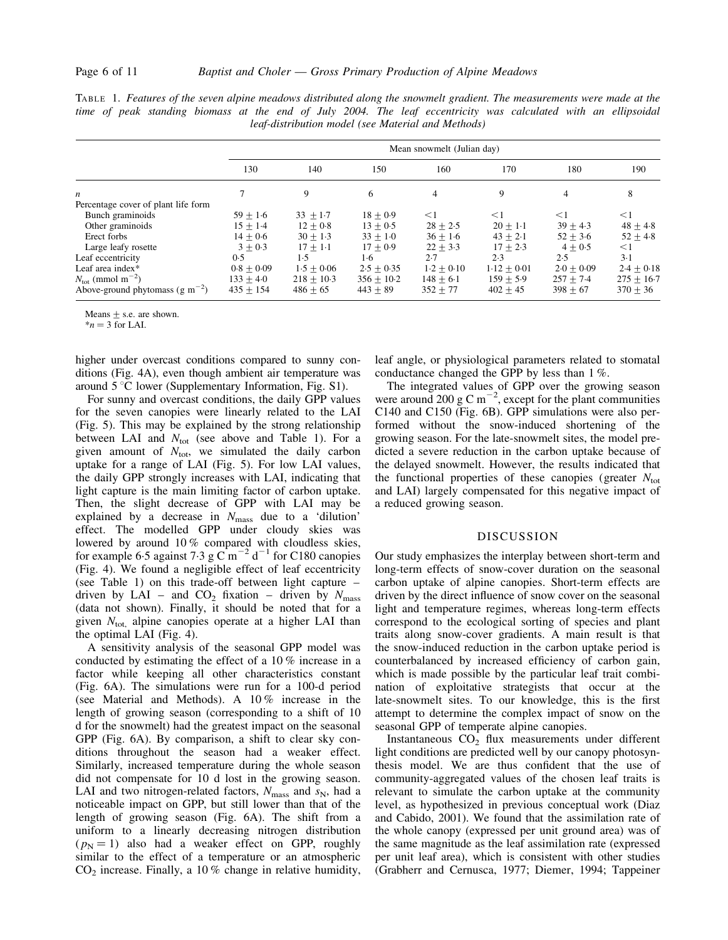| <u>icaj anstroniton moder (see material and methods)</u> |                            |              |              |              |               |              |              |
|----------------------------------------------------------|----------------------------|--------------|--------------|--------------|---------------|--------------|--------------|
|                                                          | Mean snowmelt (Julian day) |              |              |              |               |              |              |
|                                                          | 130                        | 140          | 150          | 160          | 170           | 180          | 190          |
| n                                                        |                            | 9            | 6            | 4            | 9             | 4            | 8            |
| Percentage cover of plant life form                      |                            |              |              |              |               |              |              |
| Bunch graminoids                                         | $59 \pm 1.6$               | $33 + 1.7$   | $18 \pm 0.9$ | $\leq$ 1     | $\leq$ 1      | $\leq$ 1     | $\leq$ 1     |
| Other graminoids                                         | $15 + 1.4$                 | $12 + 0.8$   | $13 + 0.5$   | $28 + 2.5$   | $20 + 1.1$    | $39 + 4.3$   | $48 + 4.8$   |
| Erect forbs                                              | $14 + 0.6$                 | $30 + 1.3$   | $33 + 1.0$   | $36 + 1.6$   | $43 + 2.1$    | $52 + 3.6$   | $52 + 4.8$   |
| Large leafy rosette                                      | $3 + 0.3$                  | $17 + 1.1$   | $17 + 0.9$   | $22 + 3.3$   | $17 + 2.3$    | $4 + 0.5$    | $<$ 1        |
| Leaf eccentricity                                        | 0.5                        | 1.5          | 1.6          | 2.7          | 2.3           | 2.5          | $3-1$        |
| Leaf area index*                                         | $0.8 + 0.09$               | $1.5 + 0.06$ | $2.5 + 0.35$ | $1.2 + 0.10$ | $1.12 + 0.01$ | $2.0 + 0.09$ | $2.4 + 0.18$ |
| $N_{\text{tot}}$ (mmol m <sup>-2</sup> )                 | $133 + 40$                 | $218 + 10.3$ | $356 + 10.2$ | $148 + 6.1$  | $159 + 5.9$   | $257 + 7.4$  | $275 + 16.7$ |
| Above-ground phytomass (g m <sup>-2</sup> )              | $435 + 154$                | $486 + 65$   | $443 + 89$   | $352 + 77$   | $402 + 45$    | $398 + 67$   | $370 + 36$   |

TABLE 1. Features of the seven alpine meadows distributed along the snowmelt gradient. The measurements were made at the time of peak standing biomass at the end of July 2004. The leaf eccentricity was calculated with an ellipsoidal leaf-distribution model (see Material and Methods)

Means  $+$  s.e. are shown.

 $*$ *n* = 3 for LAI.

higher under overcast conditions compared to sunny conditions (Fig. 4A), even though ambient air temperature was around  $5^{\circ}$ C lower (Supplementary Information, Fig. S1).

For sunny and overcast conditions, the daily GPP values for the seven canopies were linearly related to the LAI (Fig. 5). This may be explained by the strong relationship between LAI and  $N_{\text{tot}}$  (see above and Table 1). For a given amount of  $N_{\text{tot}}$ , we simulated the daily carbon uptake for a range of LAI (Fig. 5). For low LAI values, the daily GPP strongly increases with LAI, indicating that light capture is the main limiting factor of carbon uptake. Then, the slight decrease of GPP with LAI may be explained by a decrease in  $N_{\text{mass}}$  due to a 'dilution' effect. The modelled GPP under cloudy skies was lowered by around 10 % compared with cloudless skies, for example 6.5 against 7.3 g  $\overline{C}$  m<sup>-2</sup> d<sup>-1</sup> for C180 canopies (Fig. 4). We found a negligible effect of leaf eccentricity (see Table 1) on this trade-off between light capture – driven by LAI – and  $CO_2$  fixation – driven by  $N_{\text{mass}}$ (data not shown). Finally, it should be noted that for a given  $N_{\text{tot}}$ , alpine canopies operate at a higher LAI than the optimal LAI (Fig. 4).

A sensitivity analysis of the seasonal GPP model was conducted by estimating the effect of a 10 % increase in a factor while keeping all other characteristics constant (Fig. 6A). The simulations were run for a 100-d period (see Material and Methods). A 10 % increase in the length of growing season (corresponding to a shift of 10 d for the snowmelt) had the greatest impact on the seasonal GPP (Fig. 6A). By comparison, a shift to clear sky conditions throughout the season had a weaker effect. Similarly, increased temperature during the whole season did not compensate for 10 d lost in the growing season. LAI and two nitrogen-related factors,  $N_{\text{mass}}$  and  $s_{\text{N}}$ , had a noticeable impact on GPP, but still lower than that of the length of growing season (Fig. 6A). The shift from a uniform to a linearly decreasing nitrogen distribution  $(p_N = 1)$  also had a weaker effect on GPP, roughly similar to the effect of a temperature or an atmospheric  $CO<sub>2</sub>$  increase. Finally, a 10% change in relative humidity,

leaf angle, or physiological parameters related to stomatal conductance changed the GPP by less than 1 %.

The integrated values of GPP over the growing season were around 200 g C m<sup>-2</sup>, except for the plant communities C140 and C150 (Fig. 6B). GPP simulations were also performed without the snow-induced shortening of the growing season. For the late-snowmelt sites, the model predicted a severe reduction in the carbon uptake because of the delayed snowmelt. However, the results indicated that the functional properties of these canopies (greater  $N_{\text{tot}}$ and LAI) largely compensated for this negative impact of a reduced growing season.

# DISCUSSION

Our study emphasizes the interplay between short-term and long-term effects of snow-cover duration on the seasonal carbon uptake of alpine canopies. Short-term effects are driven by the direct influence of snow cover on the seasonal light and temperature regimes, whereas long-term effects correspond to the ecological sorting of species and plant traits along snow-cover gradients. A main result is that the snow-induced reduction in the carbon uptake period is counterbalanced by increased efficiency of carbon gain, which is made possible by the particular leaf trait combination of exploitative strategists that occur at the late-snowmelt sites. To our knowledge, this is the first attempt to determine the complex impact of snow on the seasonal GPP of temperate alpine canopies.

Instantaneous  $CO<sub>2</sub>$  flux measurements under different light conditions are predicted well by our canopy photosynthesis model. We are thus confident that the use of community-aggregated values of the chosen leaf traits is relevant to simulate the carbon uptake at the community level, as hypothesized in previous conceptual work (Diaz and Cabido, 2001). We found that the assimilation rate of the whole canopy (expressed per unit ground area) was of the same magnitude as the leaf assimilation rate (expressed per unit leaf area), which is consistent with other studies (Grabherr and Cernusca, 1977; Diemer, 1994; Tappeiner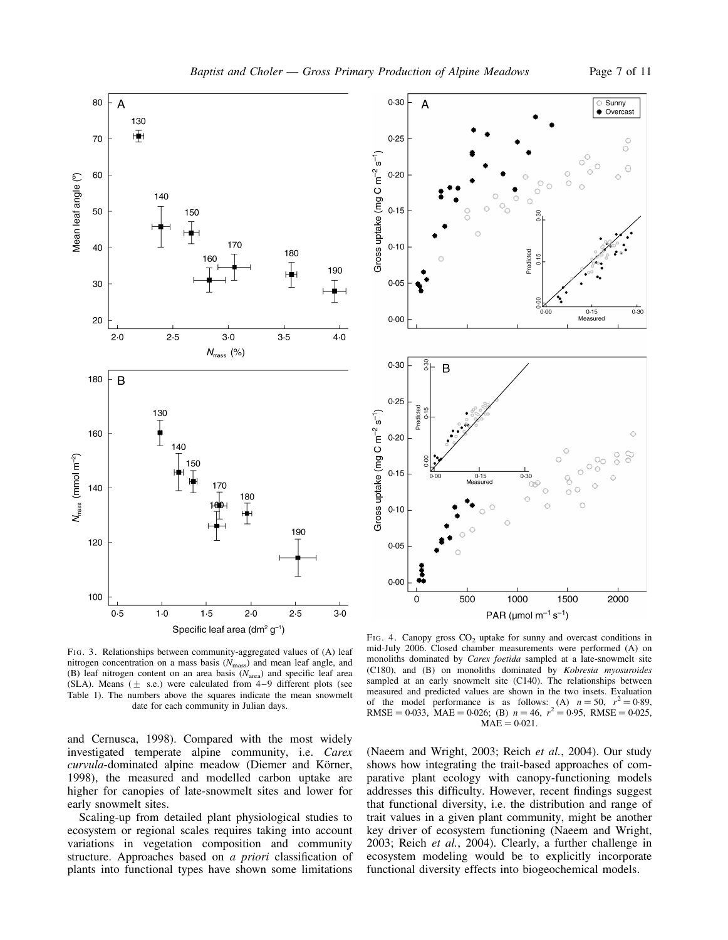

FIG. 3. Relationships between community-aggregated values of (A) leaf nitrogen concentration on a mass basis  $(N_{\text{mass}})$  and mean leaf angle, and (B) leaf nitrogen content on an area basis  $(N<sub>area</sub>)$  and specific leaf area (SLA). Means  $(\pm \text{ s.e.})$  were calculated from 4–9 different plots (see Table 1). The numbers above the squares indicate the mean snowmelt date for each community in Julian days.

and Cernusca, 1998). Compared with the most widely investigated temperate alpine community, i.e. Carex curvula-dominated alpine meadow (Diemer and Körner, 1998), the measured and modelled carbon uptake are higher for canopies of late-snowmelt sites and lower for early snowmelt sites.

Scaling-up from detailed plant physiological studies to ecosystem or regional scales requires taking into account variations in vegetation composition and community structure. Approaches based on a priori classification of plants into functional types have shown some limitations



FIG. 4. Canopy gross  $CO<sub>2</sub>$  uptake for sunny and overcast conditions in mid-July 2006. Closed chamber measurements were performed (A) on monoliths dominated by *Carex foetida* sampled at a late-snowmelt site (C180), and (B) on monoliths dominated by Kobresia myosuroides sampled at an early snowmelt site (C140). The relationships between measured and predicted values are shown in the two insets. Evaluation of the model performance is as follows: (A)  $n = 50$ ,  $r^2 = 0.89$ , RMSE = 0.033, MAE = 0.026; (B)  $n = 46$ ,  $r^2 = 0.95$ , RMSE = 0.025,  $MAE = 0.021$ .

(Naeem and Wright, 2003; Reich et al., 2004). Our study shows how integrating the trait-based approaches of comparative plant ecology with canopy-functioning models addresses this difficulty. However, recent findings suggest that functional diversity, i.e. the distribution and range of trait values in a given plant community, might be another key driver of ecosystem functioning (Naeem and Wright, 2003; Reich et al., 2004). Clearly, a further challenge in ecosystem modeling would be to explicitly incorporate functional diversity effects into biogeochemical models.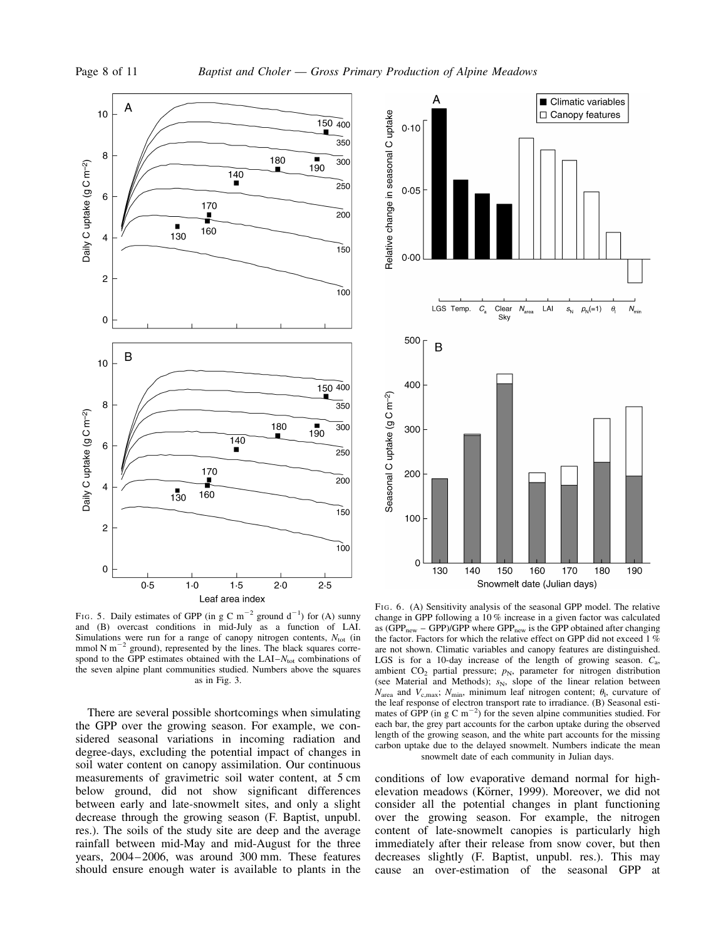



FIG. 5. Daily estimates of GPP (in g C m<sup>-2</sup> ground  $d^{-1}$ ) for (A) sunny and (B) overcast conditions in mid-July as a function of LAI. Simulations were run for a range of canopy nitrogen contents,  $N_{\text{tot}}$  (in mmol N  $m^{-2}$  ground), represented by the lines. The black squares correspond to the GPP estimates obtained with the  $LAI-N<sub>tot</sub>$  combinations of the seven alpine plant communities studied. Numbers above the squares as in Fig. 3.

There are several possible shortcomings when simulating the GPP over the growing season. For example, we considered seasonal variations in incoming radiation and degree-days, excluding the potential impact of changes in soil water content on canopy assimilation. Our continuous measurements of gravimetric soil water content, at 5 cm below ground, did not show significant differences between early and late-snowmelt sites, and only a slight decrease through the growing season (F. Baptist, unpubl. res.). The soils of the study site are deep and the average rainfall between mid-May and mid-August for the three years, 2004–2006, was around 300 mm. These features should ensure enough water is available to plants in the

FIG. 6. (A) Sensitivity analysis of the seasonal GPP model. The relative change in GPP following a 10 % increase in a given factor was calculated as  $(GPP<sub>new</sub> - GPP)/GPP$  where  $GPP<sub>new</sub>$  is the  $GPP$  obtained after changing the factor. Factors for which the relative effect on GPP did not exceed 1 % are not shown. Climatic variables and canopy features are distinguished. LGS is for a 10-day increase of the length of growing season.  $C_a$ , ambient  $CO<sub>2</sub>$  partial pressure;  $p<sub>N</sub>$ , parameter for nitrogen distribution (see Material and Methods);  $s_N$ , slope of the linear relation between  $N_{\text{area}}$  and  $V_{\text{c,max}}$ ;  $N_{\text{min}}$ , minimum leaf nitrogen content;  $\theta_1$ , curvature of the leaf response of electron transport rate to irradiance. (B) Seasonal estimates of GPP (in  $g \text{ C m}^{-2}$ ) for the seven alpine communities studied. For each bar, the grey part accounts for the carbon uptake during the observed length of the growing season, and the white part accounts for the missing carbon uptake due to the delayed snowmelt. Numbers indicate the mean snowmelt date of each community in Julian days.

conditions of low evaporative demand normal for highelevation meadows (Körner, 1999). Moreover, we did not consider all the potential changes in plant functioning over the growing season. For example, the nitrogen content of late-snowmelt canopies is particularly high immediately after their release from snow cover, but then decreases slightly (F. Baptist, unpubl. res.). This may cause an over-estimation of the seasonal GPP at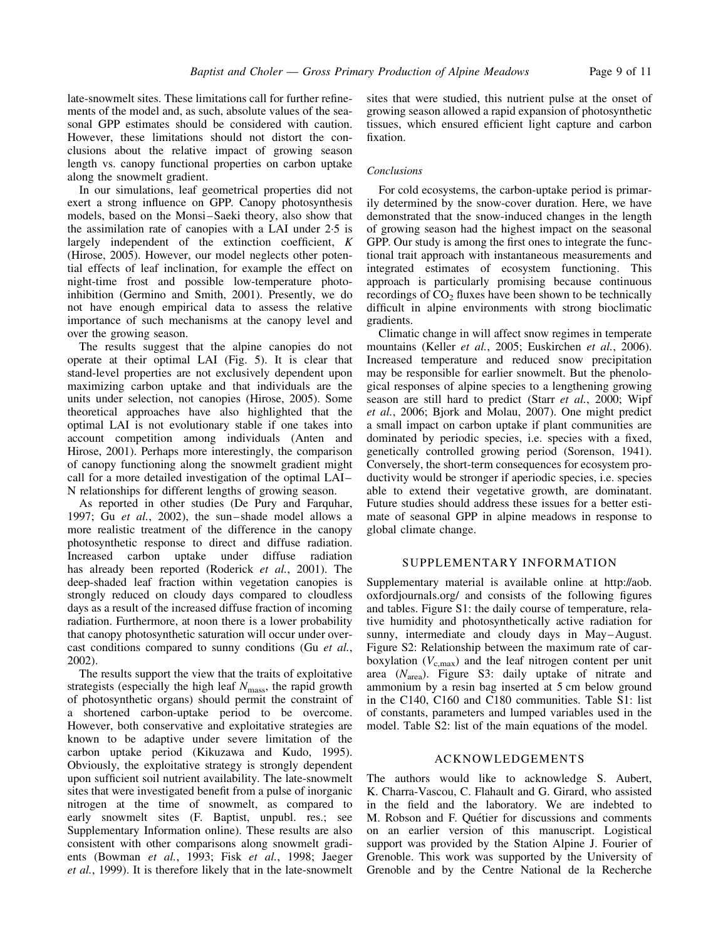late-snowmelt sites. These limitations call for further refinements of the model and, as such, absolute values of the seasonal GPP estimates should be considered with caution. However, these limitations should not distort the conclusions about the relative impact of growing season length vs. canopy functional properties on carbon uptake along the snowmelt gradient.

In our simulations, leaf geometrical properties did not exert a strong influence on GPP. Canopy photosynthesis models, based on the Monsi–Saeki theory, also show that the assimilation rate of canopies with a LAI under 2.5 is largely independent of the extinction coefficient, K (Hirose, 2005). However, our model neglects other potential effects of leaf inclination, for example the effect on night-time frost and possible low-temperature photoinhibition (Germino and Smith, 2001). Presently, we do not have enough empirical data to assess the relative importance of such mechanisms at the canopy level and over the growing season.

The results suggest that the alpine canopies do not operate at their optimal LAI (Fig. 5). It is clear that stand-level properties are not exclusively dependent upon maximizing carbon uptake and that individuals are the units under selection, not canopies (Hirose, 2005). Some theoretical approaches have also highlighted that the optimal LAI is not evolutionary stable if one takes into account competition among individuals (Anten and Hirose, 2001). Perhaps more interestingly, the comparison of canopy functioning along the snowmelt gradient might call for a more detailed investigation of the optimal LAI– N relationships for different lengths of growing season.

As reported in other studies (De Pury and Farquhar, 1997; Gu et al., 2002), the sun–shade model allows a more realistic treatment of the difference in the canopy photosynthetic response to direct and diffuse radiation. Increased carbon uptake under diffuse radiation has already been reported (Roderick et al., 2001). The deep-shaded leaf fraction within vegetation canopies is strongly reduced on cloudy days compared to cloudless days as a result of the increased diffuse fraction of incoming radiation. Furthermore, at noon there is a lower probability that canopy photosynthetic saturation will occur under overcast conditions compared to sunny conditions (Gu et al., 2002).

The results support the view that the traits of exploitative strategists (especially the high leaf  $N_{\text{mass}}$ , the rapid growth of photosynthetic organs) should permit the constraint of a shortened carbon-uptake period to be overcome. However, both conservative and exploitative strategies are known to be adaptive under severe limitation of the carbon uptake period (Kikuzawa and Kudo, 1995). Obviously, the exploitative strategy is strongly dependent upon sufficient soil nutrient availability. The late-snowmelt sites that were investigated benefit from a pulse of inorganic nitrogen at the time of snowmelt, as compared to early snowmelt sites (F. Baptist, unpubl. res.; see Supplementary Information online). These results are also consistent with other comparisons along snowmelt gradients (Bowman et al., 1993; Fisk et al., 1998; Jaeger et al., 1999). It is therefore likely that in the late-snowmelt sites that were studied, this nutrient pulse at the onset of growing season allowed a rapid expansion of photosynthetic tissues, which ensured efficient light capture and carbon fixation.

## Conclusions

For cold ecosystems, the carbon-uptake period is primarily determined by the snow-cover duration. Here, we have demonstrated that the snow-induced changes in the length of growing season had the highest impact on the seasonal GPP. Our study is among the first ones to integrate the functional trait approach with instantaneous measurements and integrated estimates of ecosystem functioning. This approach is particularly promising because continuous recordings of  $CO<sub>2</sub>$  fluxes have been shown to be technically difficult in alpine environments with strong bioclimatic gradients.

Climatic change in will affect snow regimes in temperate mountains (Keller et al., 2005; Euskirchen et al., 2006). Increased temperature and reduced snow precipitation may be responsible for earlier snowmelt. But the phenological responses of alpine species to a lengthening growing season are still hard to predict (Starr et al., 2000; Wipf et al., 2006; Bjork and Molau, 2007). One might predict a small impact on carbon uptake if plant communities are dominated by periodic species, i.e. species with a fixed, genetically controlled growing period (Sorenson, 1941). Conversely, the short-term consequences for ecosystem productivity would be stronger if aperiodic species, i.e. species able to extend their vegetative growth, are dominatant. Future studies should address these issues for a better estimate of seasonal GPP in alpine meadows in response to global climate change.

# SUPPLEMENTARY INFORMATION

Supplementary material is available online at http://aob. oxfordjournals.org/ and consists of the following figures and tables. Figure S1: the daily course of temperature, relative humidity and photosynthetically active radiation for sunny, intermediate and cloudy days in May–August. Figure S2: Relationship between the maximum rate of carboxylation  $(V_{c,max})$  and the leaf nitrogen content per unit area  $(N<sub>area</sub>)$ . Figure S3: daily uptake of nitrate and ammonium by a resin bag inserted at 5 cm below ground in the C140, C160 and C180 communities. Table S1: list of constants, parameters and lumped variables used in the model. Table S2: list of the main equations of the model.

## ACKNOWLEDGEMENTS

The authors would like to acknowledge S. Aubert, K. Charra-Vascou, C. Flahault and G. Girard, who assisted in the field and the laboratory. We are indebted to M. Robson and F. Quétier for discussions and comments on an earlier version of this manuscript. Logistical support was provided by the Station Alpine J. Fourier of Grenoble. This work was supported by the University of Grenoble and by the Centre National de la Recherche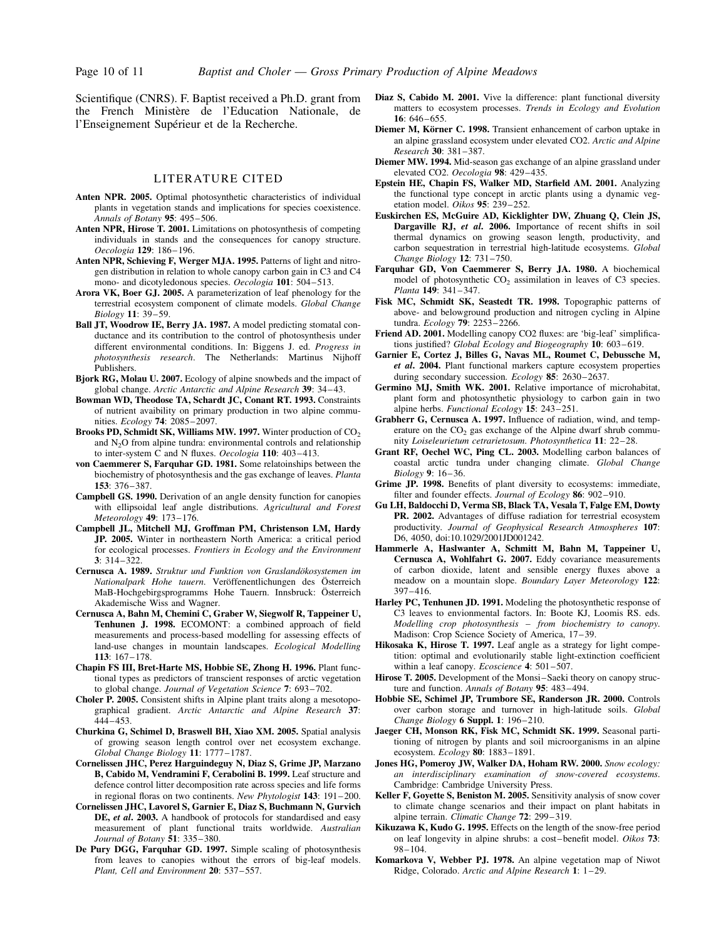Scientifique (CNRS). F. Baptist received a Ph.D. grant from the French Ministère de l'Education Nationale, de l'Enseignement Supérieur et de la Recherche.

#### LITERATURE CITED

- Anten NPR. 2005. Optimal photosynthetic characteristics of individual plants in vegetation stands and implications for species coexistence. Annals of Botany 95: 495–506.
- Anten NPR, Hirose T. 2001. Limitations on photosynthesis of competing individuals in stands and the consequences for canopy structure. Oecologia 129: 186–196.
- Anten NPR, Schieving F, Werger MJA. 1995. Patterns of light and nitrogen distribution in relation to whole canopy carbon gain in C3 and C4 mono- and dicotyledonous species. Oecologia 101: 504-513.
- Arora VK, Boer GJ. 2005. A parameterization of leaf phenology for the terrestrial ecosystem component of climate models. Global Change  $Bioloev 11: 39–59.$
- Ball JT, Woodrow IE, Berry JA. 1987. A model predicting stomatal conductance and its contribution to the control of photosynthesis under different environmental conditions. In: Biggens J. ed. Progress in photosynthesis research. The Netherlands: Martinus Nijhoff Publishers.
- Bjork RG, Molau U. 2007. Ecology of alpine snowbeds and the impact of global change. Arctic Antarctic and Alpine Research 39: 34–43.
- Bowman WD, Theodose TA, Schardt JC, Conant RT. 1993. Constraints of nutrient avaibility on primary production in two alpine communities. Ecology 74: 2085–2097.
- Brooks PD, Schmidt SK, Williams MW. 1997. Winter production of  $CO<sub>2</sub>$ and  $N<sub>2</sub>O$  from alpine tundra: environmental controls and relationship to inter-system C and N fluxes. Oecologia 110: 403–413.
- von Caemmerer S, Farquhar GD. 1981. Some relatoinships between the biochemistry of photosynthesis and the gas exchange of leaves. Planta 153: 376–387.
- Campbell GS. 1990. Derivation of an angle density function for canopies with ellipsoidal leaf angle distributions. Agricultural and Forest Meteorology 49: 173–176.
- Campbell JL, Mitchell MJ, Groffman PM, Christenson LM, Hardy JP. 2005. Winter in northeastern North America: a critical period for ecological processes. Frontiers in Ecology and the Environment 3: 314–322.
- Cernusca A. 1989. Struktur und Funktion von Graslandökosystemen im Nationalpark Hohe tauern. Veröffenentlichungen des Österreich MaB-Hochgebirgsprogramms Hohe Tauern. Innsbruck: Österreich Akademische Wiss and Wagner.
- Cernusca A, Bahn M, Chemini C, Graber W, Siegwolf R, Tappeiner U, Tenhunen J. 1998. ECOMONT: a combined approach of field measurements and process-based modelling for assessing effects of land-use changes in mountain landscapes. Ecological Modelling 113: 167–178.
- Chapin FS III, Bret-Harte MS, Hobbie SE, Zhong H. 1996. Plant functional types as predictors of transcient responses of arctic vegetation to global change. Journal of Vegetation Science 7: 693–702.
- Choler P. 2005. Consistent shifts in Alpine plant traits along a mesotopographical gradient. Arctic Antarctic and Alpine Research 37: 444–453.
- Churkina G, Schimel D, Braswell BH, Xiao XM. 2005. Spatial analysis of growing season length control over net ecosystem exchange. Global Change Biology 11: 1777–1787.
- Cornelissen JHC, Perez Harguindeguy N, Diaz S, Grime JP, Marzano B, Cabido M, Vendramini F, Cerabolini B. 1999. Leaf structure and defence control litter decomposition rate across species and life forms in regional floras on two continents. New Phytologist 143: 191–200.
- Cornelissen JHC, Lavorel S, Garnier E, Diaz S, Buchmann N, Gurvich DE, et al. 2003. A handbook of protocols for standardised and easy measurement of plant functional traits worldwide. Australian Journal of Botany 51: 335–380.
- De Pury DGG, Farquhar GD. 1997. Simple scaling of photosynthesis from leaves to canopies without the errors of big-leaf models. Plant, Cell and Environment 20: 537–557.
- Diaz S, Cabido M. 2001. Vive la difference: plant functional diversity matters to ecosystem processes. Trends in Ecology and Evolution 16: 646–655.
- Diemer M, Körner C. 1998. Transient enhancement of carbon uptake in an alpine grassland ecosystem under elevated CO2. Arctic and Alpine Research 30: 381–387.
- Diemer MW. 1994. Mid-season gas exchange of an alpine grassland under elevated CO2. Oecologia 98: 429–435.
- Epstein HE, Chapin FS, Walker MD, Starfield AM. 2001. Analyzing the functional type concept in arctic plants using a dynamic vegetation model.  $Qikos$  95: 239–252.
- Euskirchen ES, McGuire AD, Kicklighter DW, Zhuang Q, Clein JS, Dargaville RJ, et al. 2006. Importance of recent shifts in soil thermal dynamics on growing season length, productivity, and carbon sequestration in terrestrial high-latitude ecosystems. Global Change Biology 12: 731–750.
- Farquhar GD, Von Caemmerer S, Berry JA. 1980. A biochemical model of photosynthetic  $CO<sub>2</sub>$  assimilation in leaves of C3 species. Planta 149: 341–347.
- Fisk MC, Schmidt SK, Seastedt TR. 1998. Topographic patterns of above- and belowground production and nitrogen cycling in Alpine tundra. Ecology 79: 2253–2266.
- Friend AD. 2001. Modelling canopy CO2 fluxes: are 'big-leaf' simplifications justified? Global Ecology and Biogeography 10: 603-619.
- Garnier E, Cortez J, Billes G, Navas ML, Roumet C, Debussche M, et al. 2004. Plant functional markers capture ecosystem properties during secondary succession. Ecology 85: 2630–2637.
- Germino MJ, Smith WK. 2001. Relative importance of microhabitat, plant form and photosynthetic physiology to carbon gain in two alpine herbs. Functional Ecology 15: 243–251.
- Grabherr G, Cernusca A. 1997. Influence of radiation, wind, and temperature on the  $CO<sub>2</sub>$  gas exchange of the Alpine dwarf shrub community Loiseleurietum cetrarietosum. Photosynthetica 11: 22–28.
- Grant RF, Oechel WC, Ping CL. 2003. Modelling carbon balances of coastal arctic tundra under changing climate. Global Change Biology 9: 16–36.
- Grime JP. 1998. Benefits of plant diversity to ecosystems: immediate, filter and founder effects. Journal of Ecology 86: 902–910.
- Gu LH, Baldocchi D, Verma SB, Black TA, Vesala T, Falge EM, Dowty PR. 2002. Advantages of diffuse radiation for terrestrial ecosystem productivity. Journal of Geophysical Research Atmospheres 107: D6, 4050, doi:10.1029/2001JD001242.
- Hammerle A, Haslwanter A, Schmitt M, Bahn M, Tappeiner U, Cernusca A, Wohlfahrt G. 2007. Eddy covariance measurements of carbon dioxide, latent and sensible energy fluxes above a meadow on a mountain slope. Boundary Layer Meteorology 122: 397–416.
- Harley PC, Tenhunen JD. 1991. Modeling the photosynthetic response of C3 leaves to envionmental factors. In: Boote KJ, Loomis RS. eds. Modelling crop photosynthesis – from biochemistry to canopy. Madison: Crop Science Society of America, 17–39.
- Hikosaka K, Hirose T. 1997. Leaf angle as a strategy for light competition: optimal and evolutionarily stable light-extinction coefficient within a leaf canopy. Ecoscience 4: 501-507.
- Hirose T. 2005. Development of the Monsi–Saeki theory on canopy structure and function. Annals of Botany 95: 483–494.
- Hobbie SE, Schimel JP, Trumbore SE, Randerson JR. 2000. Controls over carbon storage and turnover in high-latitude soils. Global Change Biology 6 Suppl. 1: 196–210.
- Jaeger CH, Monson RK, Fisk MC, Schmidt SK. 1999. Seasonal partitioning of nitrogen by plants and soil microorganisms in an alpine ecosystem. Ecology 80: 1883–1891.
- Jones HG, Pomeroy JW, Walker DA, Hoham RW. 2000. Snow ecology: an interdisciplinary examination of snow-covered ecosystems. Cambridge: Cambridge University Press.
- Keller F, Goyette S, Beniston M. 2005. Sensitivity analysis of snow cover to climate change scenarios and their impact on plant habitats in alpine terrain. Climatic Change 72: 299–319.
- Kikuzawa K, Kudo G. 1995. Effects on the length of the snow-free period on leaf longevity in alpine shrubs: a cost–benefit model. Oikos 73: 98–104.
- Komarkova V, Webber PJ. 1978. An alpine vegetation map of Niwot Ridge, Colorado. Arctic and Alpine Research 1: 1–29.